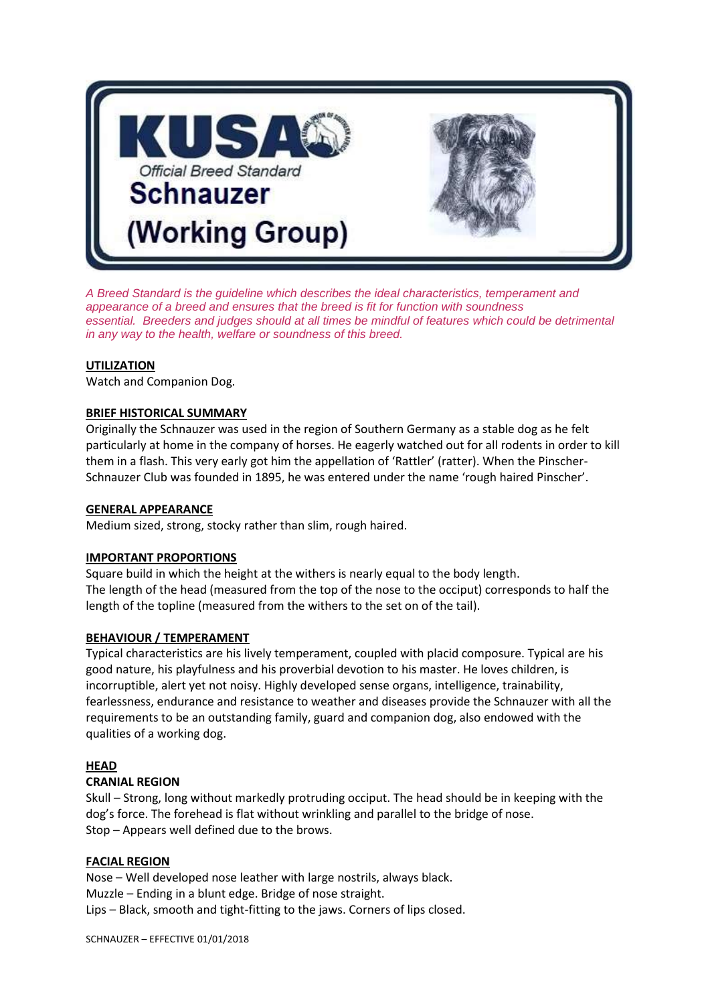

*A Breed Standard is the guideline which describes the ideal characteristics, temperament and appearance of a breed and ensures that the breed is fit for function with soundness essential. Breeders and judges should at all times be mindful of features which could be detrimental in any way to the health, welfare or soundness of this breed.*

#### **UTILIZATION**

Watch and Companion Dog.

#### **BRIEF HISTORICAL SUMMARY**

Originally the Schnauzer was used in the region of Southern Germany as a stable dog as he felt particularly at home in the company of horses. He eagerly watched out for all rodents in order to kill them in a flash. This very early got him the appellation of 'Rattler' (ratter). When the Pinscher-Schnauzer Club was founded in 1895, he was entered under the name 'rough haired Pinscher'.

#### **GENERAL APPEARANCE**

Medium sized, strong, stocky rather than slim, rough haired.

## **IMPORTANT PROPORTIONS**

Square build in which the height at the withers is nearly equal to the body length. The length of the head (measured from the top of the nose to the occiput) corresponds to half the length of the topline (measured from the withers to the set on of the tail).

#### **BEHAVIOUR / TEMPERAMENT**

Typical characteristics are his lively temperament, coupled with placid composure. Typical are his good nature, his playfulness and his proverbial devotion to his master. He loves children, is incorruptible, alert yet not noisy. Highly developed sense organs, intelligence, trainability, fearlessness, endurance and resistance to weather and diseases provide the Schnauzer with all the requirements to be an outstanding family, guard and companion dog, also endowed with the qualities of a working dog.

## **HEAD**

## **CRANIAL REGION**

Skull – Strong, long without markedly protruding occiput. The head should be in keeping with the dog's force. The forehead is flat without wrinkling and parallel to the bridge of nose. Stop – Appears well defined due to the brows.

## **FACIAL REGION**

Nose – Well developed nose leather with large nostrils, always black. Muzzle – Ending in a blunt edge. Bridge of nose straight. Lips – Black, smooth and tight-fitting to the jaws. Corners of lips closed.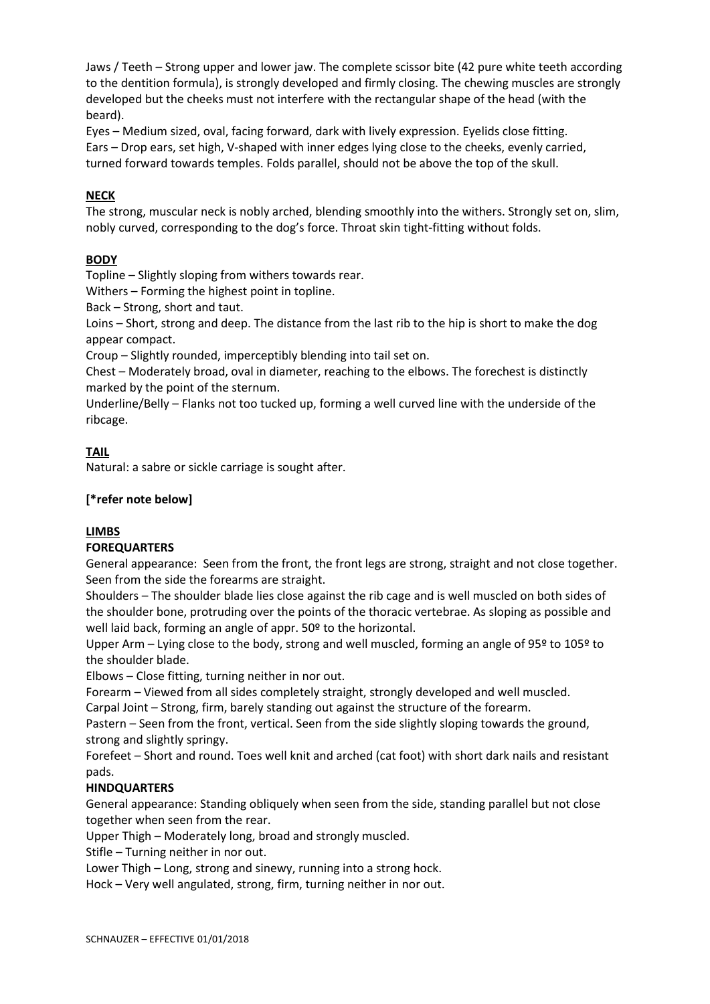Jaws / Teeth – Strong upper and lower jaw. The complete scissor bite (42 pure white teeth according to the dentition formula), is strongly developed and firmly closing. The chewing muscles are strongly developed but the cheeks must not interfere with the rectangular shape of the head (with the beard).

Eyes – Medium sized, oval, facing forward, dark with lively expression. Eyelids close fitting. Ears – Drop ears, set high, V-shaped with inner edges lying close to the cheeks, evenly carried, turned forward towards temples. Folds parallel, should not be above the top of the skull.

## **NECK**

The strong, muscular neck is nobly arched, blending smoothly into the withers. Strongly set on, slim, nobly curved, corresponding to the dog's force. Throat skin tight-fitting without folds.

## **BODY**

Topline – Slightly sloping from withers towards rear.

Withers – Forming the highest point in topline.

Back – Strong, short and taut.

Loins – Short, strong and deep. The distance from the last rib to the hip is short to make the dog appear compact.

Croup – Slightly rounded, imperceptibly blending into tail set on.

Chest – Moderately broad, oval in diameter, reaching to the elbows. The forechest is distinctly marked by the point of the sternum.

Underline/Belly – Flanks not too tucked up, forming a well curved line with the underside of the ribcage.

## **TAIL**

Natural: a sabre or sickle carriage is sought after.

## **[\*refer note below]**

## **LIMBS**

## **FOREQUARTERS**

General appearance: Seen from the front, the front legs are strong, straight and not close together. Seen from the side the forearms are straight.

Shoulders – The shoulder blade lies close against the rib cage and is well muscled on both sides of the shoulder bone, protruding over the points of the thoracic vertebrae. As sloping as possible and well laid back, forming an angle of appr. 50º to the horizontal.

Upper Arm – Lying close to the body, strong and well muscled, forming an angle of 95º to 105º to the shoulder blade.

Elbows – Close fitting, turning neither in nor out.

Forearm – Viewed from all sides completely straight, strongly developed and well muscled.

Carpal Joint – Strong, firm, barely standing out against the structure of the forearm.

Pastern – Seen from the front, vertical. Seen from the side slightly sloping towards the ground, strong and slightly springy.

Forefeet – Short and round. Toes well knit and arched (cat foot) with short dark nails and resistant pads.

## **HINDQUARTERS**

General appearance: Standing obliquely when seen from the side, standing parallel but not close together when seen from the rear.

Upper Thigh – Moderately long, broad and strongly muscled.

Stifle – Turning neither in nor out.

Lower Thigh – Long, strong and sinewy, running into a strong hock.

Hock – Very well angulated, strong, firm, turning neither in nor out.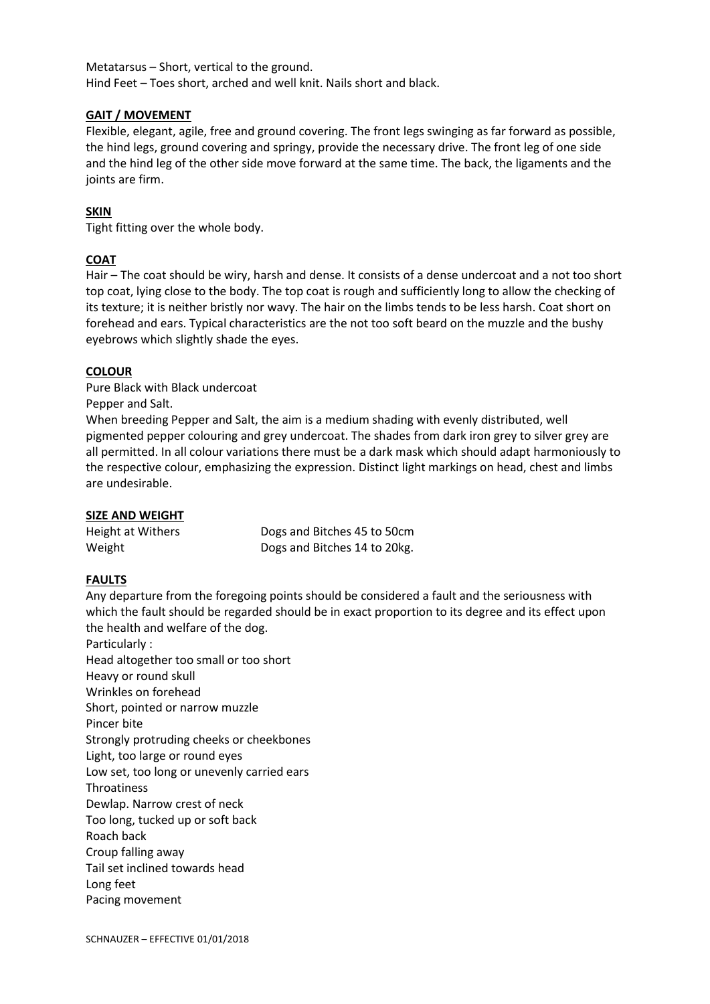Metatarsus – Short, vertical to the ground. Hind Feet – Toes short, arched and well knit. Nails short and black.

## **GAIT / MOVEMENT**

Flexible, elegant, agile, free and ground covering. The front legs swinging as far forward as possible, the hind legs, ground covering and springy, provide the necessary drive. The front leg of one side and the hind leg of the other side move forward at the same time. The back, the ligaments and the joints are firm.

## **SKIN**

Tight fitting over the whole body.

## **COAT**

Hair – The coat should be wiry, harsh and dense. It consists of a dense undercoat and a not too short top coat, lying close to the body. The top coat is rough and sufficiently long to allow the checking of its texture; it is neither bristly nor wavy. The hair on the limbs tends to be less harsh. Coat short on forehead and ears. Typical characteristics are the not too soft beard on the muzzle and the bushy eyebrows which slightly shade the eyes.

## **COLOUR**

Pure Black with Black undercoat

Pepper and Salt.

When breeding Pepper and Salt, the aim is a medium shading with evenly distributed, well pigmented pepper colouring and grey undercoat. The shades from dark iron grey to silver grey are all permitted. In all colour variations there must be a dark mask which should adapt harmoniously to the respective colour, emphasizing the expression. Distinct light markings on head, chest and limbs are undesirable.

## **SIZE AND WEIGHT**

Height at Withers Dogs and Bitches 45 to 50cm Weight Dogs and Bitches 14 to 20kg.

## **FAULTS**

Any departure from the foregoing points should be considered a fault and the seriousness with which the fault should be regarded should be in exact proportion to its degree and its effect upon the health and welfare of the dog.

Particularly : Head altogether too small or too short Heavy or round skull Wrinkles on forehead Short, pointed or narrow muzzle Pincer bite Strongly protruding cheeks or cheekbones Light, too large or round eyes Low set, too long or unevenly carried ears Throatiness Dewlap. Narrow crest of neck Too long, tucked up or soft back Roach back Croup falling away Tail set inclined towards head Long feet Pacing movement